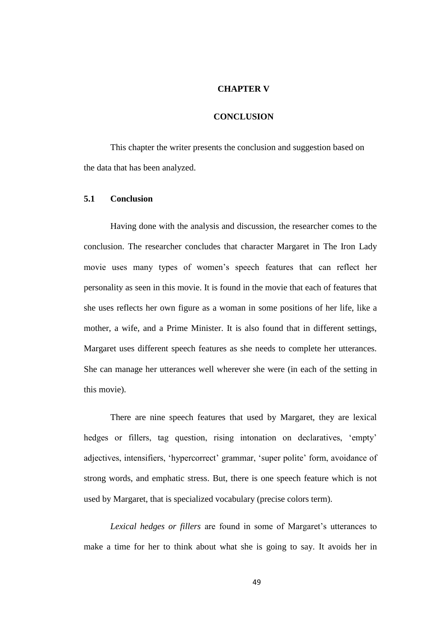## **CHAPTER V**

## **CONCLUSION**

This chapter the writer presents the conclusion and suggestion based on the data that has been analyzed.

## **5.1 Conclusion**

Having done with the analysis and discussion, the researcher comes to the conclusion. The researcher concludes that character Margaret in The Iron Lady movie uses many types of women's speech features that can reflect her personality as seen in this movie. It is found in the movie that each of features that she uses reflects her own figure as a woman in some positions of her life, like a mother, a wife, and a Prime Minister. It is also found that in different settings, Margaret uses different speech features as she needs to complete her utterances. She can manage her utterances well wherever she were (in each of the setting in this movie).

There are nine speech features that used by Margaret, they are lexical hedges or fillers, tag question, rising intonation on declaratives, 'empty' adjectives, intensifiers, 'hypercorrect' grammar, 'super polite' form, avoidance of strong words, and emphatic stress. But, there is one speech feature which is not used by Margaret, that is specialized vocabulary (precise colors term).

*Lexical hedges or fillers* are found in some of Margaret's utterances to make a time for her to think about what she is going to say. It avoids her in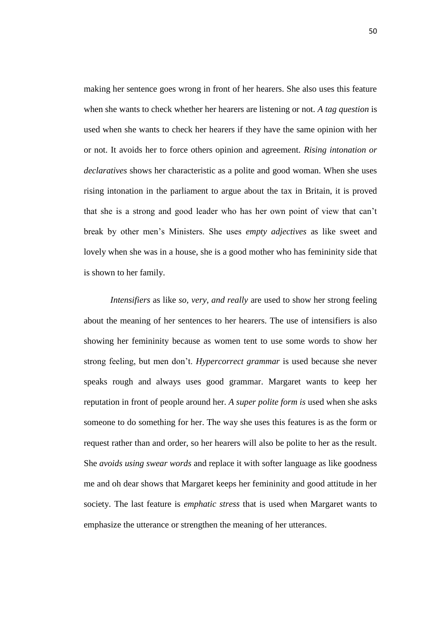making her sentence goes wrong in front of her hearers. She also uses this feature when she wants to check whether her hearers are listening or not. *A tag question* is used when she wants to check her hearers if they have the same opinion with her or not. It avoids her to force others opinion and agreement. *Rising intonation or declaratives* shows her characteristic as a polite and good woman. When she uses rising intonation in the parliament to argue about the tax in Britain, it is proved that she is a strong and good leader who has her own point of view that can't break by other men's Ministers. She uses *empty adjectives* as like sweet and lovely when she was in a house, she is a good mother who has femininity side that is shown to her family.

*Intensifiers* as like *so, very, and really* are used to show her strong feeling about the meaning of her sentences to her hearers. The use of intensifiers is also showing her femininity because as women tent to use some words to show her strong feeling, but men don't. *Hypercorrect grammar* is used because she never speaks rough and always uses good grammar. Margaret wants to keep her reputation in front of people around her. *A super polite form is* used when she asks someone to do something for her. The way she uses this features is as the form or request rather than and order, so her hearers will also be polite to her as the result. She *avoids using swear words* and replace it with softer language as like goodness me and oh dear shows that Margaret keeps her femininity and good attitude in her society. The last feature is *emphatic stress* that is used when Margaret wants to emphasize the utterance or strengthen the meaning of her utterances.